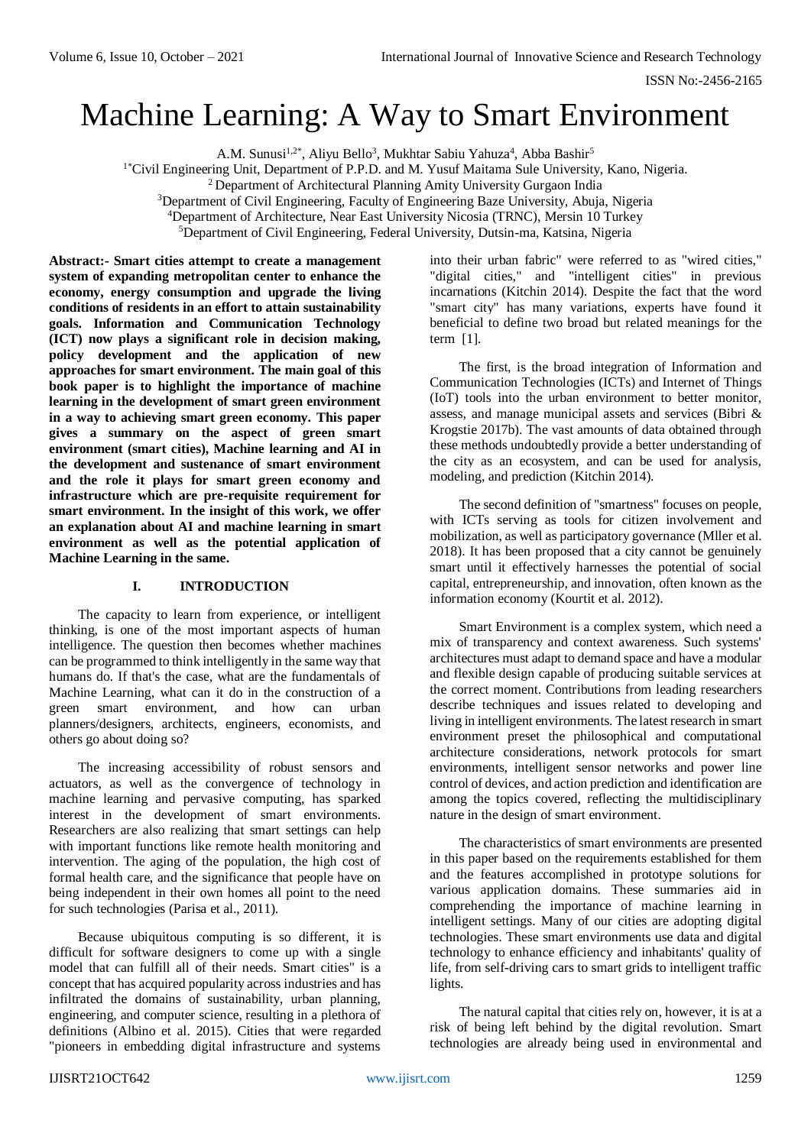# Machine Learning: A Way to Smart Environment

A.M. Sunusi<sup>1,2\*</sup>, Aliyu Bello<sup>3</sup>, Mukhtar Sabiu Yahuza<sup>4</sup>, Abba Bashir<sup>5</sup>

<sup>1\*</sup>Civil Engineering Unit, Department of P.P.D. and M. Yusuf Maitama Sule University, Kano, Nigeria.

<sup>2</sup> Department of Architectural Planning Amity University Gurgaon India

<sup>3</sup>Department of Civil Engineering, Faculty of Engineering Baze University, Abuja, Nigeria

<sup>4</sup>Department of Architecture, Near East University Nicosia (TRNC), Mersin 10 Turkey

<sup>5</sup>Department of Civil Engineering, Federal University, Dutsin-ma, Katsina, Nigeria

**Abstract:- Smart cities attempt to create a management system of expanding metropolitan center to enhance the economy, energy consumption and upgrade the living conditions of residents in an effort to attain sustainability goals. Information and Communication Technology (ICT) now plays a significant role in decision making, policy development and the application of new approaches for smart environment. The main goal of this book paper is to highlight the importance of machine learning in the development of smart green environment in a way to achieving smart green economy. This paper gives a summary on the aspect of green smart environment (smart cities), Machine learning and AI in the development and sustenance of smart environment and the role it plays for smart green economy and infrastructure which are pre-requisite requirement for smart environment. In the insight of this work, we offer an explanation about AI and machine learning in smart environment as well as the potential application of Machine Learning in the same.**

# **I. INTRODUCTION**

The capacity to learn from experience, or intelligent thinking, is one of the most important aspects of human intelligence. The question then becomes whether machines can be programmed to think intelligently in the same way that humans do. If that's the case, what are the fundamentals of Machine Learning, what can it do in the construction of a green smart environment, and how can urban planners/designers, architects, engineers, economists, and others go about doing so?

The increasing accessibility of robust sensors and actuators, as well as the convergence of technology in machine learning and pervasive computing, has sparked interest in the development of smart environments. Researchers are also realizing that smart settings can help with important functions like remote health monitoring and intervention. The aging of the population, the high cost of formal health care, and the significance that people have on being independent in their own homes all point to the need for such technologies (Parisa et al., 2011).

Because ubiquitous computing is so different, it is difficult for software designers to come up with a single model that can fulfill all of their needs. Smart cities" is a concept that has acquired popularity across industries and has infiltrated the domains of sustainability, urban planning, engineering, and computer science, resulting in a plethora of definitions (Albino et al. 2015). Cities that were regarded "pioneers in embedding digital infrastructure and systems

into their urban fabric" were referred to as "wired cities," "digital cities," and "intelligent cities" in previous incarnations (Kitchin 2014). Despite the fact that the word "smart city" has many variations, experts have found it beneficial to define two broad but related meanings for the term [1].

The first, is the broad integration of Information and Communication Technologies (ICTs) and Internet of Things (IoT) tools into the urban environment to better monitor, assess, and manage municipal assets and services (Bibri & Krogstie 2017b). The vast amounts of data obtained through these methods undoubtedly provide a better understanding of the city as an ecosystem, and can be used for analysis, modeling, and prediction (Kitchin 2014).

The second definition of "smartness" focuses on people, with ICTs serving as tools for citizen involvement and mobilization, as well as participatory governance (Mller et al. 2018). It has been proposed that a city cannot be genuinely smart until it effectively harnesses the potential of social capital, entrepreneurship, and innovation, often known as the information economy (Kourtit et al. 2012).

Smart Environment is a complex system, which need a mix of transparency and context awareness. Such systems' architectures must adapt to demand space and have a modular and flexible design capable of producing suitable services at the correct moment. Contributions from leading researchers describe techniques and issues related to developing and living in intelligent environments. The latest research in smart environment preset the philosophical and computational architecture considerations, network protocols for smart environments, intelligent sensor networks and power line control of devices, and action prediction and identification are among the topics covered, reflecting the multidisciplinary nature in the design of smart environment.

The characteristics of smart environments are presented in this paper based on the requirements established for them and the features accomplished in prototype solutions for various application domains. These summaries aid in comprehending the importance of machine learning in intelligent settings. Many of our cities are adopting digital technologies. These smart environments use data and digital technology to enhance efficiency and inhabitants' quality of life, from self-driving cars to smart grids to intelligent traffic lights.

The natural capital that cities rely on, however, it is at a risk of being left behind by the digital revolution. Smart technologies are already being used in environmental and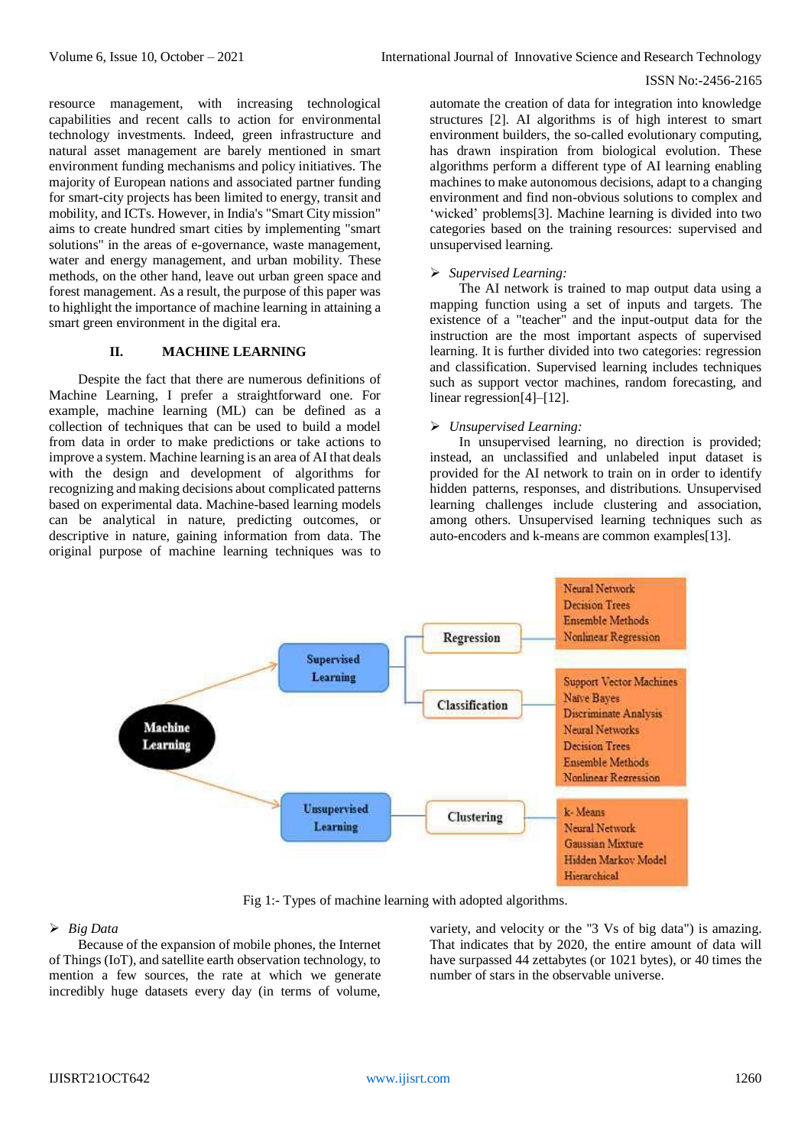resource management, with increasing technological capabilities and recent calls to action for environmental technology investments. Indeed, green infrastructure and natural asset management are barely mentioned in smart environment funding mechanisms and policy initiatives. The majority of European nations and associated partner funding for smart-city projects has been limited to energy, transit and mobility, and ICTs. However, in India's "Smart City mission" aims to create hundred smart cities by implementing "smart solutions" in the areas of e-governance, waste management, water and energy management, and urban mobility. These methods, on the other hand, leave out urban green space and forest management. As a result, the purpose of this paper was to highlight the importance of machine learning in attaining a smart green environment in the digital era.

# **II. MACHINE LEARNING**

Despite the fact that there are numerous definitions of Machine Learning, I prefer a straightforward one. For example, machine learning (ML) can be defined as a collection of techniques that can be used to build a model from data in order to make predictions or take actions to improve a system. Machine learning is an area of AI that deals with the design and development of algorithms for recognizing and making decisions about complicated patterns based on experimental data. Machine-based learning models can be analytical in nature, predicting outcomes, or descriptive in nature, gaining information from data. The original purpose of machine learning techniques was to automate the creation of data for integration into knowledge structures [2]. AI algorithms is of high interest to smart environment builders, the so-called evolutionary computing, has drawn inspiration from biological evolution. These algorithms perform a different type of AI learning enabling machines to make autonomous decisions, adapt to a changing environment and find non-obvious solutions to complex and 'wicked' problems[3]. Machine learning is divided into two categories based on the training resources: supervised and unsupervised learning.

#### *Supervised Learning:*

The AI network is trained to map output data using a mapping function using a set of inputs and targets. The existence of a "teacher" and the input-output data for the instruction are the most important aspects of supervised learning. It is further divided into two categories: regression and classification. Supervised learning includes techniques such as support vector machines, random forecasting, and linear regression[4]–[12].

#### *Unsupervised Learning:*

In unsupervised learning, no direction is provided; instead, an unclassified and unlabeled input dataset is provided for the AI network to train on in order to identify hidden patterns, responses, and distributions. Unsupervised learning challenges include clustering and association, among others. Unsupervised learning techniques such as auto-encoders and k-means are common examples[13].



Fig 1:- Types of machine learning with adopted algorithms.

#### *Big Data*

Because of the expansion of mobile phones, the Internet of Things (IoT), and satellite earth observation technology, to mention a few sources, the rate at which we generate incredibly huge datasets every day (in terms of volume,

variety, and velocity or the "3 Vs of big data") is amazing. That indicates that by 2020, the entire amount of data will have surpassed 44 zettabytes (or 1021 bytes), or 40 times the number of stars in the observable universe.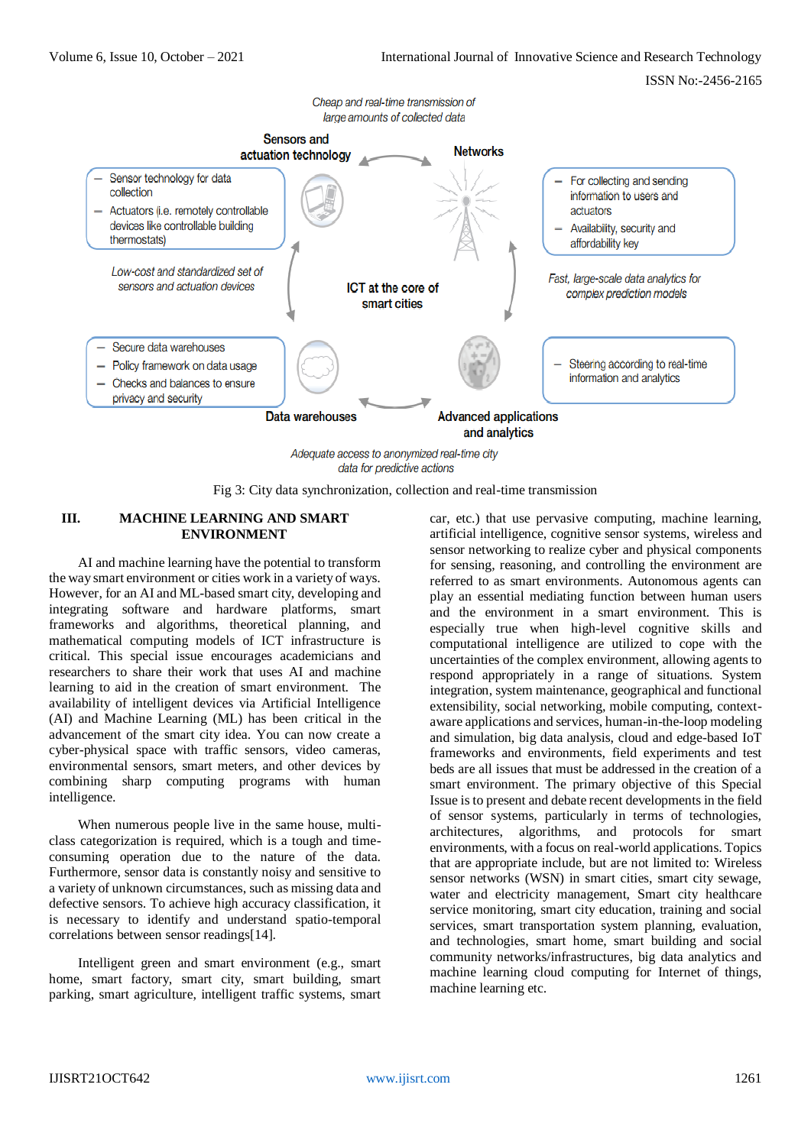

data for predictive actions

Fig 3: City data synchronization, collection and real-time transmission

#### **III. MACHINE LEARNING AND SMART ENVIRONMENT**

AI and machine learning have the potential to transform the way smart environment or cities work in a variety of ways. However, for an AI and ML-based smart city, developing and integrating software and hardware platforms, smart frameworks and algorithms, theoretical planning, and mathematical computing models of ICT infrastructure is critical. This special issue encourages academicians and researchers to share their work that uses AI and machine learning to aid in the creation of smart environment. The availability of intelligent devices via Artificial Intelligence (AI) and Machine Learning (ML) has been critical in the advancement of the smart city idea. You can now create a cyber-physical space with traffic sensors, video cameras, environmental sensors, smart meters, and other devices by combining sharp computing programs with human intelligence.

When numerous people live in the same house, multiclass categorization is required, which is a tough and timeconsuming operation due to the nature of the data. Furthermore, sensor data is constantly noisy and sensitive to a variety of unknown circumstances, such as missing data and defective sensors. To achieve high accuracy classification, it is necessary to identify and understand spatio-temporal correlations between sensor readings[14].

Intelligent green and smart environment (e.g., smart home, smart factory, smart city, smart building, smart parking, smart agriculture, intelligent traffic systems, smart car, etc.) that use pervasive computing, machine learning, artificial intelligence, cognitive sensor systems, wireless and sensor networking to realize cyber and physical components for sensing, reasoning, and controlling the environment are referred to as smart environments. Autonomous agents can play an essential mediating function between human users and the environment in a smart environment. This is especially true when high-level cognitive skills and computational intelligence are utilized to cope with the uncertainties of the complex environment, allowing agents to respond appropriately in a range of situations. System integration, system maintenance, geographical and functional extensibility, social networking, mobile computing, contextaware applications and services, human-in-the-loop modeling and simulation, big data analysis, cloud and edge-based IoT frameworks and environments, field experiments and test beds are all issues that must be addressed in the creation of a smart environment. The primary objective of this Special Issue is to present and debate recent developments in the field of sensor systems, particularly in terms of technologies, architectures, algorithms, and protocols for smart environments, with a focus on real-world applications. Topics that are appropriate include, but are not limited to: Wireless sensor networks (WSN) in smart cities, smart city sewage, water and electricity management, Smart city healthcare service monitoring, smart city education, training and social services, smart transportation system planning, evaluation, and technologies, smart home, smart building and social community networks/infrastructures, big data analytics and machine learning cloud computing for Internet of things, machine learning etc.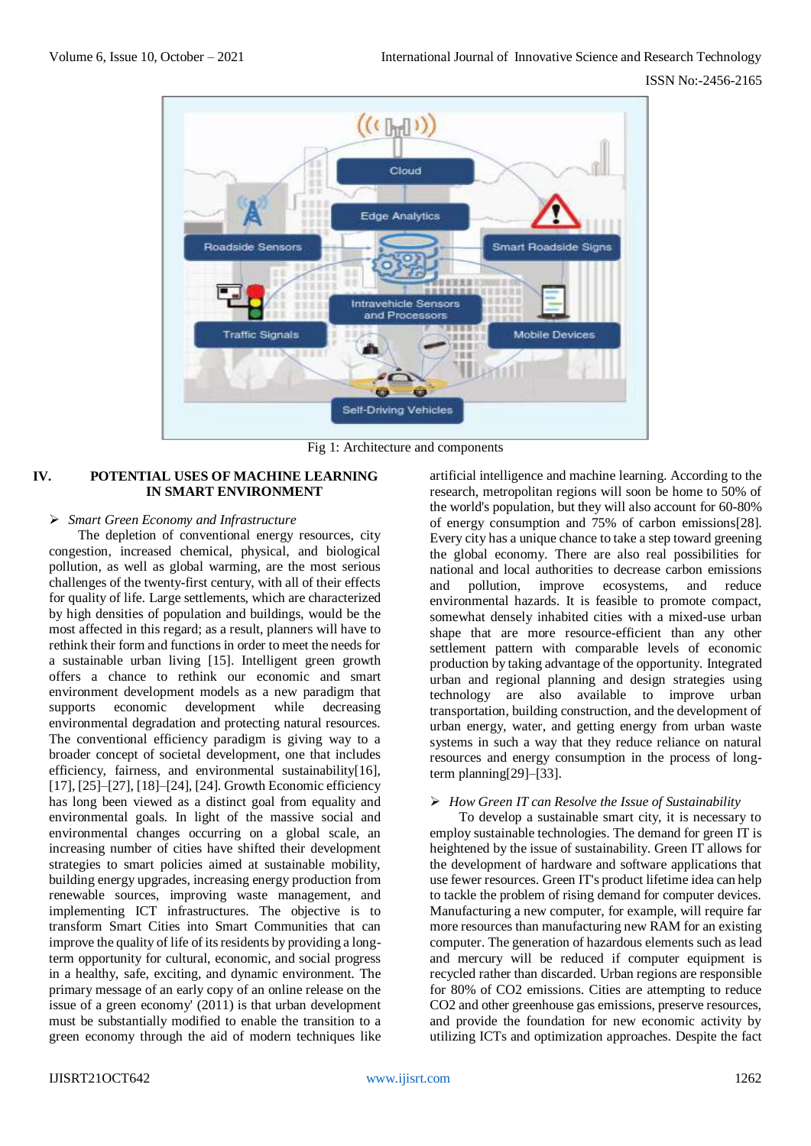

Fig 1: Architecture and components

# **IV. POTENTIAL USES OF MACHINE LEARNING IN SMART ENVIRONMENT**

# *Smart Green Economy and Infrastructure*

The depletion of conventional energy resources, city congestion, increased chemical, physical, and biological pollution, as well as global warming, are the most serious challenges of the twenty-first century, with all of their effects for quality of life. Large settlements, which are characterized by high densities of population and buildings, would be the most affected in this regard; as a result, planners will have to rethink their form and functions in order to meet the needs for a sustainable urban living [15]. Intelligent green growth offers a chance to rethink our economic and smart environment development models as a new paradigm that supports economic development while decreasing environmental degradation and protecting natural resources. The conventional efficiency paradigm is giving way to a broader concept of societal development, one that includes efficiency, fairness, and environmental sustainability[16], [17], [25]–[27], [18]–[24], [24]. Growth Economic efficiency has long been viewed as a distinct goal from equality and environmental goals. In light of the massive social and environmental changes occurring on a global scale, an increasing number of cities have shifted their development strategies to smart policies aimed at sustainable mobility, building energy upgrades, increasing energy production from renewable sources, improving waste management, and implementing ICT infrastructures. The objective is to transform Smart Cities into Smart Communities that can improve the quality of life of its residents by providing a longterm opportunity for cultural, economic, and social progress in a healthy, safe, exciting, and dynamic environment. The primary message of an early copy of an online release on the issue of a green economy' (2011) is that urban development must be substantially modified to enable the transition to a green economy through the aid of modern techniques like

artificial intelligence and machine learning. According to the research, metropolitan regions will soon be home to 50% of the world's population, but they will also account for 60-80% of energy consumption and 75% of carbon emissions[28]. Every city has a unique chance to take a step toward greening the global economy. There are also real possibilities for national and local authorities to decrease carbon emissions and pollution, improve ecosystems, and reduce environmental hazards. It is feasible to promote compact, somewhat densely inhabited cities with a mixed-use urban shape that are more resource-efficient than any other settlement pattern with comparable levels of economic production by taking advantage of the opportunity. Integrated urban and regional planning and design strategies using technology are also available to improve urban transportation, building construction, and the development of urban energy, water, and getting energy from urban waste systems in such a way that they reduce reliance on natural resources and energy consumption in the process of longterm planning[29]–[33].

#### *How Green IT can Resolve the Issue of Sustainability*

To develop a sustainable smart city, it is necessary to employ sustainable technologies. The demand for green IT is heightened by the issue of sustainability. Green IT allows for the development of hardware and software applications that use fewer resources. Green IT's product lifetime idea can help to tackle the problem of rising demand for computer devices. Manufacturing a new computer, for example, will require far more resources than manufacturing new RAM for an existing computer. The generation of hazardous elements such as lead and mercury will be reduced if computer equipment is recycled rather than discarded. Urban regions are responsible for 80% of CO2 emissions. Cities are attempting to reduce CO2 and other greenhouse gas emissions, preserve resources, and provide the foundation for new economic activity by utilizing ICTs and optimization approaches. Despite the fact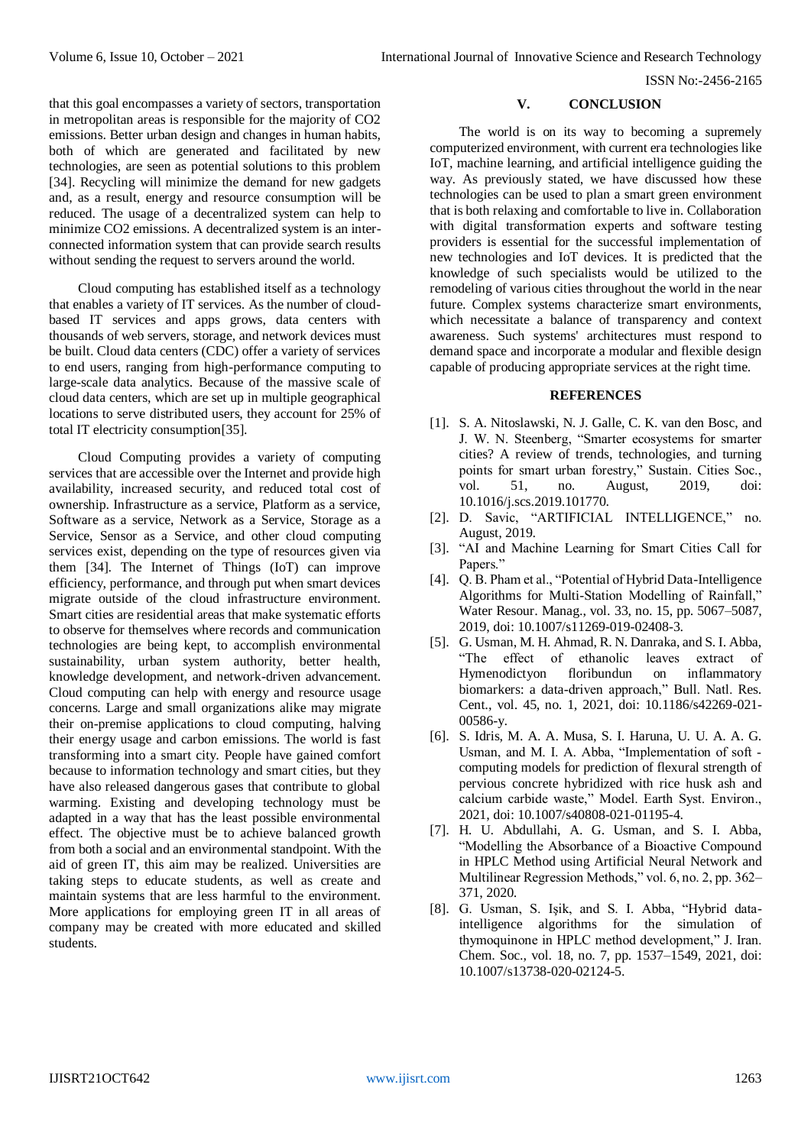that this goal encompasses a variety of sectors, transportation in metropolitan areas is responsible for the majority of CO2 emissions. Better urban design and changes in human habits, both of which are generated and facilitated by new technologies, are seen as potential solutions to this problem [34]. Recycling will minimize the demand for new gadgets and, as a result, energy and resource consumption will be reduced. The usage of a decentralized system can help to minimize CO2 emissions. A decentralized system is an interconnected information system that can provide search results without sending the request to servers around the world.

Cloud computing has established itself as a technology that enables a variety of IT services. As the number of cloudbased IT services and apps grows, data centers with thousands of web servers, storage, and network devices must be built. Cloud data centers (CDC) offer a variety of services to end users, ranging from high-performance computing to large-scale data analytics. Because of the massive scale of cloud data centers, which are set up in multiple geographical locations to serve distributed users, they account for 25% of total IT electricity consumption[35].

Cloud Computing provides a variety of computing services that are accessible over the Internet and provide high availability, increased security, and reduced total cost of ownership. Infrastructure as a service, Platform as a service, Software as a service, Network as a Service, Storage as a Service, Sensor as a Service, and other cloud computing services exist, depending on the type of resources given via them [34]. The Internet of Things (IoT) can improve efficiency, performance, and through put when smart devices migrate outside of the cloud infrastructure environment. Smart cities are residential areas that make systematic efforts to observe for themselves where records and communication technologies are being kept, to accomplish environmental sustainability, urban system authority, better health, knowledge development, and network-driven advancement. Cloud computing can help with energy and resource usage concerns. Large and small organizations alike may migrate their on-premise applications to cloud computing, halving their energy usage and carbon emissions. The world is fast transforming into a smart city. People have gained comfort because to information technology and smart cities, but they have also released dangerous gases that contribute to global warming. Existing and developing technology must be adapted in a way that has the least possible environmental effect. The objective must be to achieve balanced growth from both a social and an environmental standpoint. With the aid of green IT, this aim may be realized. Universities are taking steps to educate students, as well as create and maintain systems that are less harmful to the environment. More applications for employing green IT in all areas of company may be created with more educated and skilled students.

# **V. CONCLUSION**

The world is on its way to becoming a supremely computerized environment, with current era technologies like IoT, machine learning, and artificial intelligence guiding the way. As previously stated, we have discussed how these technologies can be used to plan a smart green environment that is both relaxing and comfortable to live in. Collaboration with digital transformation experts and software testing providers is essential for the successful implementation of new technologies and IoT devices. It is predicted that the knowledge of such specialists would be utilized to the remodeling of various cities throughout the world in the near future. Complex systems characterize smart environments, which necessitate a balance of transparency and context awareness. Such systems' architectures must respond to demand space and incorporate a modular and flexible design capable of producing appropriate services at the right time.

## **REFERENCES**

- [1]. S. A. Nitoslawski, N. J. Galle, C. K. van den Bosc, and J. W. N. Steenberg, "Smarter ecosystems for smarter cities? A review of trends, technologies, and turning points for smart urban forestry," Sustain. Cities Soc., vol. 51, no. August, 2019, doi: 10.1016/j.scs.2019.101770.
- [2]. D. Savic, "ARTIFICIAL INTELLIGENCE," no. August, 2019.
- [3]. "AI and Machine Learning for Smart Cities Call for Papers."
- [4]. Q. B. Pham et al., "Potential of Hybrid Data-Intelligence Algorithms for Multi-Station Modelling of Rainfall," Water Resour. Manag., vol. 33, no. 15, pp. 5067–5087, 2019, doi: 10.1007/s11269-019-02408-3.
- [5]. G. Usman, M. H. Ahmad, R. N. Danraka, and S. I. Abba, "The effect of ethanolic leaves extract of Hymenodictyon floribundun on inflammatory biomarkers: a data-driven approach," Bull. Natl. Res. Cent., vol. 45, no. 1, 2021, doi: 10.1186/s42269-021- 00586-y.
- [6]. S. Idris, M. A. A. Musa, S. I. Haruna, U. U. A. A. G. Usman, and M. I. A. Abba, "Implementation of soft computing models for prediction of flexural strength of pervious concrete hybridized with rice husk ash and calcium carbide waste," Model. Earth Syst. Environ., 2021, doi: 10.1007/s40808-021-01195-4.
- [7]. H. U. Abdullahi, A. G. Usman, and S. I. Abba, "Modelling the Absorbance of a Bioactive Compound in HPLC Method using Artificial Neural Network and Multilinear Regression Methods," vol. 6, no. 2, pp. 362– 371, 2020.
- [8]. G. Usman, S. Işik, and S. I. Abba, "Hybrid dataintelligence algorithms for the simulation of thymoquinone in HPLC method development," J. Iran. Chem. Soc., vol. 18, no. 7, pp. 1537–1549, 2021, doi: 10.1007/s13738-020-02124-5.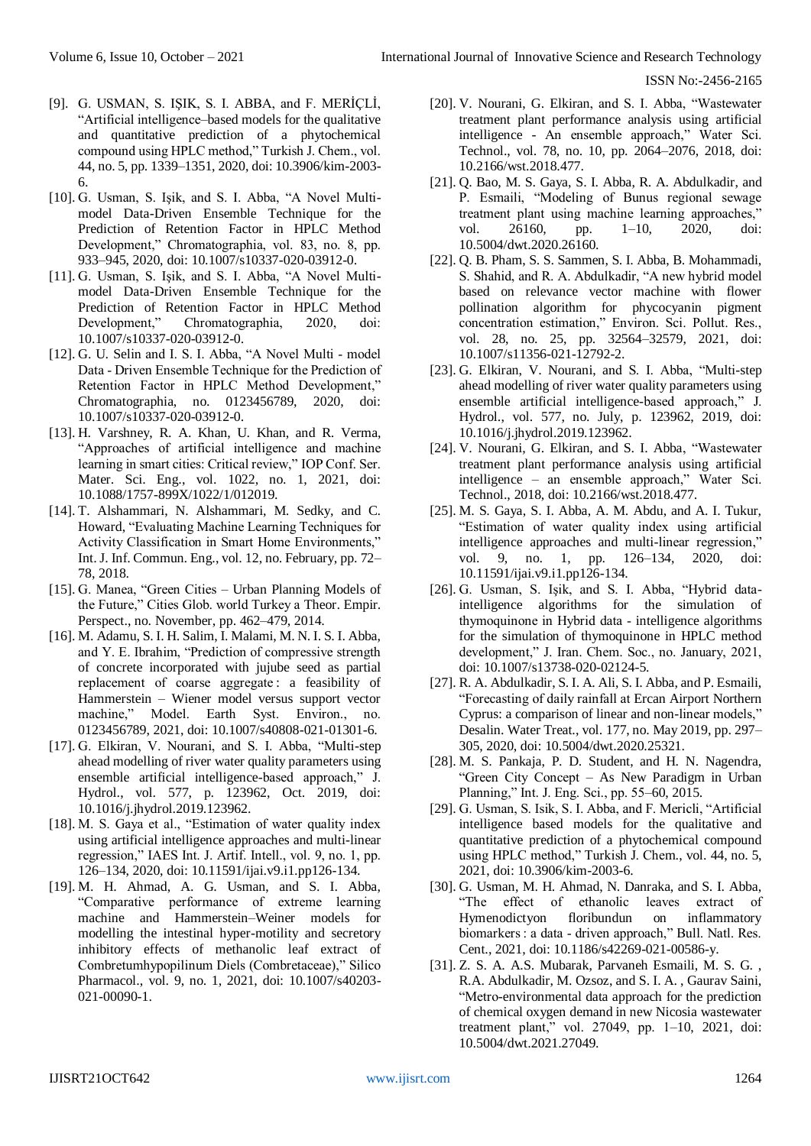- [9]. G. USMAN, S. IŞIK, S. I. ABBA, and F. MERİÇLİ, "Artificial intelligence–based models for the qualitative and quantitative prediction of a phytochemical compound using HPLC method," Turkish J. Chem., vol. 44, no. 5, pp. 1339–1351, 2020, doi: 10.3906/kim-2003- 6.
- [10]. G. Usman, S. Işik, and S. I. Abba, "A Novel Multimodel Data-Driven Ensemble Technique for the Prediction of Retention Factor in HPLC Method Development," Chromatographia, vol. 83, no. 8, pp. 933–945, 2020, doi: 10.1007/s10337-020-03912-0.
- [11]. G. Usman, S. Işik, and S. I. Abba, "A Novel Multimodel Data-Driven Ensemble Technique for the Prediction of Retention Factor in HPLC Method Development," Chromatographia, 2020, doi: 10.1007/s10337-020-03912-0.
- [12]. G. U. Selin and I. S. I. Abba, "A Novel Multi model Data ‑ Driven Ensemble Technique for the Prediction of Retention Factor in HPLC Method Development," Chromatographia, no. 0123456789, 2020, doi: 10.1007/s10337-020-03912-0.
- [13]. H. Varshney, R. A. Khan, U. Khan, and R. Verma, "Approaches of artificial intelligence and machine learning in smart cities: Critical review," IOP Conf. Ser. Mater. Sci. Eng., vol. 1022, no. 1, 2021, doi: 10.1088/1757-899X/1022/1/012019.
- [14]. T. Alshammari, N. Alshammari, M. Sedky, and C. Howard, "Evaluating Machine Learning Techniques for Activity Classification in Smart Home Environments," Int. J. Inf. Commun. Eng., vol. 12, no. February, pp. 72– 78, 2018.
- [15]. G. Manea, "Green Cities Urban Planning Models of the Future," Cities Glob. world Turkey a Theor. Empir. Perspect., no. November, pp. 462–479, 2014.
- [16]. M. Adamu, S. I. H. Salim, I. Malami, M. N. I. S. I. Abba, and Y. E. Ibrahim, "Prediction of compressive strength of concrete incorporated with jujube seed as partial replacement of coarse aggregate : a feasibility of Hammerstein – Wiener model versus support vector machine," Model. Earth Syst. Environ., no. 0123456789, 2021, doi: 10.1007/s40808-021-01301-6.
- [17]. G. Elkiran, V. Nourani, and S. I. Abba, "Multi-step ahead modelling of river water quality parameters using ensemble artificial intelligence-based approach," J. Hydrol., vol. 577, p. 123962, Oct. 2019, doi: 10.1016/j.jhydrol.2019.123962.
- [18]. M. S. Gaya et al., "Estimation of water quality index using artificial intelligence approaches and multi-linear regression," IAES Int. J. Artif. Intell., vol. 9, no. 1, pp. 126–134, 2020, doi: 10.11591/ijai.v9.i1.pp126-134.
- [19]. M. H. Ahmad, A. G. Usman, and S. I. Abba, "Comparative performance of extreme learning machine and Hammerstein–Weiner models for modelling the intestinal hyper-motility and secretory inhibitory effects of methanolic leaf extract of Combretumhypopilinum Diels (Combretaceae)," Silico Pharmacol., vol. 9, no. 1, 2021, doi: 10.1007/s40203- 021-00090-1.
- [20]. V. Nourani, G. Elkiran, and S. I. Abba, "Wastewater treatment plant performance analysis using artificial intelligence - An ensemble approach," Water Sci. Technol., vol. 78, no. 10, pp. 2064–2076, 2018, doi: 10.2166/wst.2018.477.
- [21]. Q. Bao, M. S. Gaya, S. I. Abba, R. A. Abdulkadir, and P. Esmaili, "Modeling of Bunus regional sewage treatment plant using machine learning approaches," vol. 26160, pp. 1–10, 2020, doi: 10.5004/dwt.2020.26160.
- [22]. Q. B. Pham, S. S. Sammen, S. I. Abba, B. Mohammadi, S. Shahid, and R. A. Abdulkadir, "A new hybrid model based on relevance vector machine with flower pollination algorithm for phycocyanin pigment concentration estimation," Environ. Sci. Pollut. Res., vol. 28, no. 25, pp. 32564–32579, 2021, doi: 10.1007/s11356-021-12792-2.
- [23]. G. Elkiran, V. Nourani, and S. I. Abba, "Multi-step ahead modelling of river water quality parameters using ensemble artificial intelligence-based approach," J. Hydrol., vol. 577, no. July, p. 123962, 2019, doi: 10.1016/j.jhydrol.2019.123962.
- [24]. V. Nourani, G. Elkiran, and S. I. Abba, "Wastewater treatment plant performance analysis using artificial intelligence – an ensemble approach," Water Sci. Technol., 2018, doi: 10.2166/wst.2018.477.
- [25]. M. S. Gaya, S. I. Abba, A. M. Abdu, and A. I. Tukur, "Estimation of water quality index using artificial intelligence approaches and multi-linear regression," vol. 9, no. 1, pp. 126–134, 2020, doi: 10.11591/ijai.v9.i1.pp126-134.
- [26]. G. Usman, S. Işik, and S. I. Abba, "Hybrid dataintelligence algorithms for the simulation of thymoquinone in Hybrid data ‑ intelligence algorithms for the simulation of thymoquinone in HPLC method development," J. Iran. Chem. Soc., no. January, 2021, doi: 10.1007/s13738-020-02124-5.
- [27]. R. A. Abdulkadir, S. I. A. Ali, S. I. Abba, and P. Esmaili, "Forecasting of daily rainfall at Ercan Airport Northern Cyprus: a comparison of linear and non-linear models," Desalin. Water Treat., vol. 177, no. May 2019, pp. 297– 305, 2020, doi: 10.5004/dwt.2020.25321.
- [28]. M. S. Pankaja, P. D. Student, and H. N. Nagendra, "Green City Concept – As New Paradigm in Urban Planning," Int. J. Eng. Sci., pp. 55–60, 2015.
- [29]. G. Usman, S. Isik, S. I. Abba, and F. Mericli, "Artificial intelligence based models for the qualitative and quantitative prediction of a phytochemical compound using HPLC method," Turkish J. Chem., vol. 44, no. 5, 2021, doi: 10.3906/kim-2003-6.
- [30]. G. Usman, M. H. Ahmad, N. Danraka, and S. I. Abba, "The effect of ethanolic leaves extract of Hymenodictyon floribundun on inflammatory biomarkers : a data ‑ driven approach," Bull. Natl. Res. Cent., 2021, doi: 10.1186/s42269-021-00586-y.
- [31]. Z. S. A. A.S. Mubarak, Parvaneh Esmaili, M. S. G. , R.A. Abdulkadir, M. Ozsoz, and S. I. A. , Gaurav Saini, "Metro-environmental data approach for the prediction of chemical oxygen demand in new Nicosia wastewater treatment plant," vol. 27049, pp. 1–10, 2021, doi: 10.5004/dwt.2021.27049.